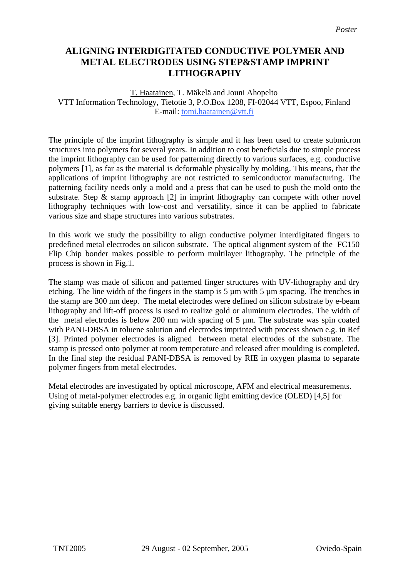# **ALIGNING INTERDIGITATED CONDUCTIVE POLYMER AND METAL ELECTRODES USING STEP&STAMP IMPRINT LITHOGRAPHY**

# T. Haatainen, T. Mäkelä and Jouni Ahopelto VTT Information Technology, Tietotie 3, P.O.Box 1208, FI-02044 VTT, Espoo, Finland E-mail: tomi.haatainen@vtt.fi

The principle of the imprint lithography is simple and it has been used to create submicron structures into polymers for several years. In addition to cost beneficials due to simple process the imprint lithography can be used for patterning directly to various surfaces, e.g. conductive polymers [1], as far as the material is deformable physically by molding. This means, that the applications of imprint lithography are not restricted to semiconductor manufacturing. The patterning facility needs only a mold and a press that can be used to push the mold onto the substrate. Step  $\&$  stamp approach [2] in imprint lithography can compete with other novel lithography techniques with low-cost and versatility, since it can be applied to fabricate various size and shape structures into various substrates.

In this work we study the possibility to align conductive polymer interdigitated fingers to predefined metal electrodes on silicon substrate. The optical alignment system of the FC150 Flip Chip bonder makes possible to perform multilayer lithography. The principle of the process is shown in Fig.1.

The stamp was made of silicon and patterned finger structures with UV-lithography and dry etching. The line width of the fingers in the stamp is 5 µm with 5 µm spacing. The trenches in the stamp are 300 nm deep. The metal electrodes were defined on silicon substrate by e-beam lithography and lift-off process is used to realize gold or aluminum electrodes. The width of the metal electrodes is below 200 nm with spacing of 5 µm. The substrate was spin coated with PANI-DBSA in toluene solution and electrodes imprinted with process shown e.g. in Ref [3]. Printed polymer electrodes is aligned between metal electrodes of the substrate. The stamp is pressed onto polymer at room temperature and released after moulding is completed. In the final step the residual PANI-DBSA is removed by RIE in oxygen plasma to separate polymer fingers from metal electrodes.

Metal electrodes are investigated by optical microscope, AFM and electrical measurements. Using of metal-polymer electrodes e.g. in organic light emitting device (OLED) [4,5] for giving suitable energy barriers to device is discussed.